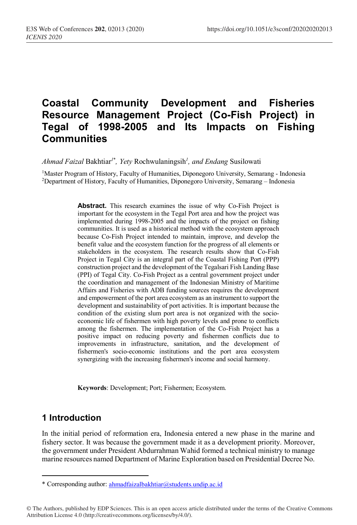# **Coastal Community Development and Fisheries Resource Management Project (Co-Fish Project) in Tegal of 1998-2005 and Its Impacts on Fishing Communities**

*Ahmad Faizal* Bakhtiar*<sup>1</sup>*\* *, Yety* Rochwulaningsih*<sup>1</sup> , and Endang* Susilowati

1Master Program of History, Faculty of Humanities, Diponegoro University, Semarang - Indonesia 2 Department of History, Faculty of Humanities, Diponegoro University, Semarang – Indonesia

> **Abstract.** This research examines the issue of why Co-Fish Project is important for the ecosystem in the Tegal Port area and how the project was implemented during 1998-2005 and the impacts of the project on fishing communities. It is used as a historical method with the ecosystem approach because Co-Fish Project intended to maintain, improve, and develop the benefit value and the ecosystem function for the progress of all elements or stakeholders in the ecosystem. The research results show that Co-Fish Project in Tegal City is an integral part of the Coastal Fishing Port (PPP) construction project and the development of the Tegalsari Fish Landing Base (PPI) of Tegal City. Co-Fish Project as a central government project under the coordination and management of the Indonesian Ministry of Maritime Affairs and Fisheries with ADB funding sources requires the development and empowerment of the port area ecosystem as an instrument to support the development and sustainability of port activities. It is important because the condition of the existing slum port area is not organized with the socioeconomic life of fishermen with high poverty levels and prone to conflicts among the fishermen. The implementation of the Co-Fish Project has a positive impact on reducing poverty and fishermen conflicts due to improvements in infrastructure, sanitation, and the development of fishermen's socio-economic institutions and the port area ecosystem synergizing with the increasing fishermen's income and social harmony.

**Keywords**: Development; Port; Fishermen; Ecosystem.

### **1 Introduction**

In the initial period of reformation era, Indonesia entered a new phase in the marine and fishery sector. It was because the government made it as a development priority. Moreover, the government under President Abdurrahman Wahid formed a technical ministry to manage marine resources named Department of Marine Exploration based on Presidential Decree No.

© The Authors, published by EDP Sciences. This is an open access article distributed under the terms of the Creative Commons Attribution License 4.0 (http://creativecommons.org/licenses/by/4.0/).

 \* Corresponding author: ahmadfaizalbakhtiar@students.undip.ac.id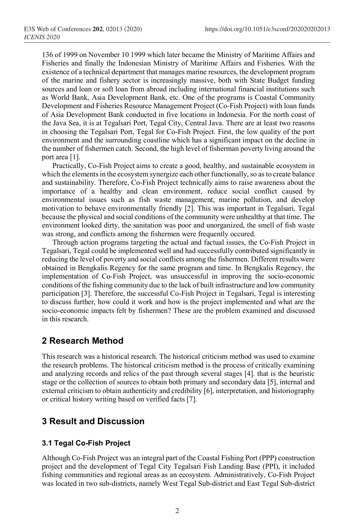136 of 1999 on November 10 1999 which later became the Ministry of Maritime Affairs and Fisheries and finally the Indonesian Ministry of Maritime Affairs and Fisheries. With the existence of a technical department that manages marine resources, the development program of the marine and fishery sector is increasingly massive, both with State Budget funding sources and loan or soft loan from abroad including international financial institutions such as World Bank, Asia Development Bank, etc. One of the programs is Coastal Community Development and Fisheries Resource Management Project (Co-Fish Project) with loan funds of Asia Development Bank conducted in five locations in Indonesia. For the north coast of the Java Sea, it is at Tegalsari Port, Tegal City, Central Java. There are at least two reasons in choosing the Tegalsari Port, Tegal for Co-Fish Project. First, the low quality of the port environment and the surrounding coastline which has a significant impact on the decline in the number of fishermen catch. Second, the high level of fisherman poverty living around the port area [1].

Practically, Co-Fish Project aims to create a good, healthy, and sustainable ecosystem in which the elements in the ecosystem synergize each other functionally, so as to create balance and sustainability. Therefore, Co-Fish Project technically aims to raise awareness about the importance of a healthy and clean environment, reduce social conflict caused by environmental issues such as fish waste management, marine pollution, and develop motivation to behave environmentally friendly [2]. This was important in Tegalsari, Tegal because the physical and social conditions of the community were unhealthy at that time. The environment looked dirty, the sanitation was poor and unorganized, the smell of fish waste was strong, and conflicts among the fishermen were frequently occured.

Through action programs targeting the actual and factual issues, the Co-Fish Project in Tegalsari, Tegal could be implemented well and had successfully contributed significantly in reducing the level of poverty and social conflicts among the fishermen. Different results were obtained in Bengkalis Regency for the same program and time. In Bengkalis Regency, the implementation of Co-Fish Project, was unsuccessful in improving the socio-economic conditions of the fishing community due to the lack of built infrastructure and low community participation [3]. Therefore, the successful Co-Fish Project in Tegalsari, Tegal is interesting to discuss further, how could it work and how is the project implemented and what are the socio-economic impacts felt by fishermen? These are the problem examined and discussed in this research.

## **2 Research Method**

This research was a historical research. The historical criticism method was used to examine the research problems. The historical criticism method is the process of critically examining and analyzing records and relics of the past through several stages [4]. that is the heuristic stage or the collection of sources to obtain both primary and secondary data [5], internal and external criticism to obtain authenticity and credibility [6], interpretation, and historiography or critical history writing based on verified facts [7].

## **3 Result and Discussion**

### **3.1 Tegal Co-Fish Project**

Although Co-Fish Project was an integral part of the Coastal Fishing Port (PPP) construction project and the development of Tegal City Tegalsari Fish Landing Base (PPI), it included fishing communities and regional areas as an ecosystem. Administratively, Co-Fish Project was located in two sub-districts, namely West Tegal Sub-district and East Tegal Sub-district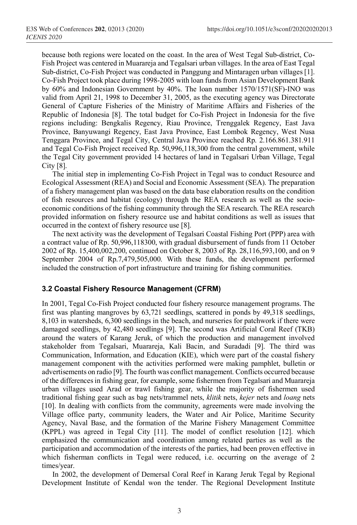because both regions were located on the coast. In the area of West Tegal Sub-district, Co-Fish Project was centered in Muarareja and Tegalsari urban villages. In the area of East Tegal Sub-district, Co-Fish Project was conducted in Panggung and Mintaragen urban villages [1]. Co-Fish Project took place during 1998-2005 with loan funds from Asian Development Bank by 60% and Indonesian Government by 40%. The loan number 1570/1571(SF)-INO was valid from April 21, 1998 to December 31, 2005, as the executing agency was Directorate General of Capture Fisheries of the Ministry of Maritime Affairs and Fisheries of the Republic of Indonesia [8]. The total budget for Co-Fish Project in Indonesia for the five regions including: Bengkalis Regency, Riau Province, Trenggalek Regency, East Java Province, Banyuwangi Regency, East Java Province, East Lombok Regency, West Nusa Tenggara Province, and Tegal City, Central Java Province reached Rp. 2.166.861.381.911 and Tegal Co-Fish Project received Rp. 50,996,118,300 from the central government, while the Tegal City government provided 14 hectares of land in Tegalsari Urban Village, Tegal City [8].

The initial step in implementing Co-Fish Project in Tegal was to conduct Resource and Ecological Assessment (REA) and Social and Economic Assessment (SEA). The preparation of a fishery management plan was based on the data base elaboration results on the condition of fish resources and habitat (ecology) through the REA research as well as the socioeconomic conditions of the fishing community through the SEA research. The REA research provided information on fishery resource use and habitat conditions as well as issues that occurred in the context of fishery resource use [8].

The next activity was the development of Tegalsari Coastal Fishing Port (PPP) area with a contract value of Rp. 50,996,118300, with gradual disbursement of funds from 11 October 2002 of Rp. 15,400,002,200, continued on October 8, 2003 of Rp. 28,116,593,100, and on 9 September 2004 of Rp.7,479,505,000. With these funds, the development performed included the construction of port infrastructure and training for fishing communities.

#### **3.2 Coastal Fishery Resource Management (CFRM)**

In 2001, Tegal Co-Fish Project conducted four fishery resource management programs. The first was planting mangroves by 63,721 seedlings, scattered in ponds by 49,318 seedlings, 8,103 in watersheds, 6,300 seedlings in the beach, and nurseries for patchwork if there were damaged seedlings, by 42,480 seedlings [9]. The second was Artificial Coral Reef (TKB) around the waters of Karang Jeruk, of which the production and management involved stakeholder from Tegalsari, Muarareja, Kali Bacin, and Suradadi [9]. The third was Communication, Information, and Education (KIE), which were part of the coastal fishery management component with the activities performed were making pamphlet, bulletin or advertisements on radio [9]. The fourth was conflict management. Conflicts occurred because of the differences in fishing gear, for example, some fishermen from Tegalsari and Muarareja urban villages used Arad or trawl fishing gear, while the majority of fishermen used traditional fishing gear such as bag nets/trammel nets, *klitik* nets, *kejer* nets and *loang* nets [10]. In dealing with conflicts from the community, agreements were made involving the Village office party, community leaders, the Water and Air Police, Maritime Security Agency, Naval Base, and the formation of the Marine Fishery Management Committee (KPPL) was agreed in Tegal City [11]. The model of conflict resolution [12]. which emphasized the communication and coordination among related parties as well as the participation and accommodation of the interests of the parties, had been proven effective in which fisherman conflicts in Tegal were reduced, i.e. occurring on the average of 2 times/year.

In 2002, the development of Demersal Coral Reef in Karang Jeruk Tegal by Regional Development Institute of Kendal won the tender. The Regional Development Institute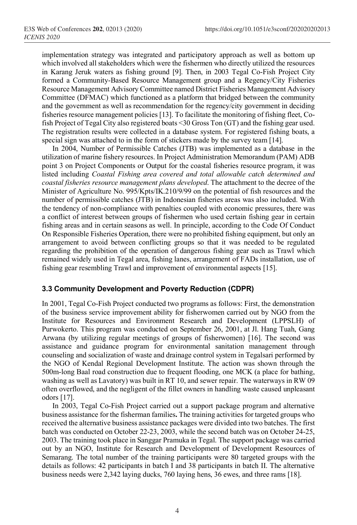implementation strategy was integrated and participatory approach as well as bottom up which involved all stakeholders which were the fishermen who directly utilized the resources in Karang Jeruk waters as fishing ground [9]. Then, in 2003 Tegal Co-Fish Project City formed a Community-Based Resource Management group and a Regency/City Fisheries Resource Management Advisory Committee named District Fisheries Management Advisory Committee (DFMAC) which functioned as a platform that bridged between the community and the government as well as recommendation for the regency/city government in deciding fisheries resource management policies [13]. To facilitate the monitoring of fishing fleet, Cofish Project of Tegal City also registered boats <30 Gross Ton (GT) and the fishing gear used. The registration results were collected in a database system. For registered fishing boats, a special sign was attached to in the form of stickers made by the survey team [14].

In 2004, Number of Permissible Catches (JTB) was implemented as a database in the utilization of marine fishery resources. In Project Administration Memorandum (PAM) ADB point 3 on Project Components or Output for the coastal fisheries resource program, it was listed including *Coastal Fishing area covered and total allowable catch determined and coastal fisheries resource management plans developed*. The attachment to the decree of the Minister of Agriculture No. 995/Kpts/IK.210/9/99 on the potential of fish resources and the number of permissible catches (JTB) in Indonesian fisheries areas was also included. With the tendency of non-compliance with penalties coupled with economic pressures, there was a conflict of interest between groups of fishermen who used certain fishing gear in certain fishing areas and in certain seasons as well. In principle, according to the Code Of Conduct On Responsible Fisheries Operation, there were no prohibited fishing equipment, but only an arrangement to avoid between conflicting groups so that it was needed to be regulated regarding the prohibition of the operation of dangerous fishing gear such as Trawl which remained widely used in Tegal area, fishing lanes, arrangement of FADs installation, use of fishing gear resembling Trawl and improvement of environmental aspects [15].

#### **3.3 Community Development and Poverty Reduction (CDPR)**

In 2001, Tegal Co-Fish Project conducted two programs as follows: First, the demonstration of the business service improvement ability for fisherwomen carried out by NGO from the Institute for Resources and Environment Research and Development (LPPSLH) of Purwokerto. This program was conducted on September 26, 2001, at Jl. Hang Tuah, Gang Arwana (by utilizing regular meetings of groups of fisherwomen) [16]. The second was assistance and guidance program for environmental sanitation management through counseling and socialization of waste and drainage control system in Tegalsari performed by the NGO of Kendal Regional Development Institute. The action was shown through the 500m-long Baal road construction due to frequent flooding, one MCK (a place for bathing, washing as well as Lavatory) was built in RT 10, and sewer repair. The waterways in RW 09 often overflowed, and the negligent of the fillet owners in handling waste caused unpleasant odors [17].

In 2003, Tegal Co-Fish Project carried out a support package program and alternative business assistance for the fisherman families**.** The training activities for targeted groups who received the alternative business assistance packages were divided into two batches. The first batch was conducted on October 22-23, 2003, while the second batch was on October 24-25, 2003. The training took place in Sanggar Pramuka in Tegal. The support package was carried out by an NGO, Institute for Research and Development of Development Resources of Semarang. The total number of the training participants were 80 targeted groups with the details as follows: 42 participants in batch I and 38 participants in batch II. The alternative business needs were 2,342 laying ducks, 760 laying hens, 36 ewes, and three rams [18].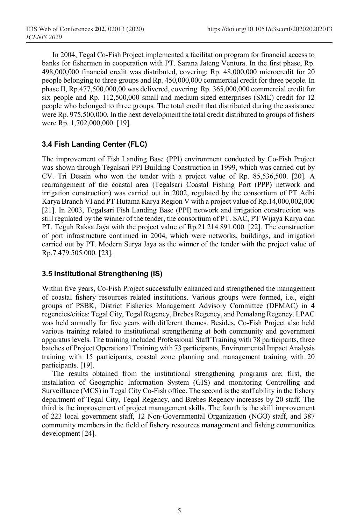In 2004, Tegal Co-Fish Project implemented a facilitation program for financial access to banks for fishermen in cooperation with PT. Sarana Jateng Ventura. In the first phase, Rp. 498,000,000 financial credit was distributed, covering: Rp. 48,000,000 microcredit for 20 people belonging to three groups and Rp. 450,000,000 commercial credit for three people. In phase II, Rp.477,500,000,00 was delivered, covering Rp. 365,000,000 commercial credit for six people and Rp. 112,500,000 small and medium-sized enterprises (SME) credit for 12 people who belonged to three groups. The total credit that distributed during the assistance were Rp. 975,500,000. In the next development the total credit distributed to groups of fishers were Rp. 1,702,000,000. [19].

#### **3.4 Fish Landing Center (FLC)**

The improvement of Fish Landing Base (PPI) environment conducted by Co-Fish Project was shown through Tegalsari PPI Building Construction in 1999, which was carried out by CV. Tri Desain who won the tender with a project value of Rp. 85,536,500. [20]. A rearrangement of the coastal area (Tegalsari Coastal Fishing Port (PPP) network and irrigation construction) was carried out in 2002, regulated by the consortium of PT Adhi Karya Branch VI and PT Hutama Karya Region V with a project value of Rp.14,000,002,000 [21]. In 2003, Tegalsari Fish Landing Base (PPI) network and irrigation construction was still regulated by the winner of the tender, the consortium of PT. SAC, PT Wijaya Karya dan PT. Teguh Raksa Jaya with the project value of Rp.21.214.891.000. [22]. The construction of port infrastructure continued in 2004, which were networks, buildings, and irrigation carried out by PT. Modern Surya Jaya as the winner of the tender with the project value of Rp.7.479.505.000. [23].

#### **3.5 Institutional Strengthening (IS)**

Within five years, Co-Fish Project successfully enhanced and strengthened the management of coastal fishery resources related institutions. Various groups were formed, i.e., eight groups of PSBK, District Fisheries Management Advisory Committee (DFMAC) in 4 regencies/cities: Tegal City, Tegal Regency, Brebes Regency, and Pemalang Regency. LPAC was held annually for five years with different themes. Besides, Co-Fish Project also held various training related to institutional strengthening at both community and government apparatus levels. The training included Professional Staff Training with 78 participants, three batches of Project Operational Training with 73 participants, Environmental Impact Analysis training with 15 participants, coastal zone planning and management training with 20 participants. [19].

The results obtained from the institutional strengthening programs are; first, the installation of Geographic Information System (GIS) and monitoring Controlling and Surveillance (MCS) in Tegal City Co-Fish office. The second is the staff ability in the fishery department of Tegal City, Tegal Regency, and Brebes Regency increases by 20 staff. The third is the improvement of project management skills. The fourth is the skill improvement of 223 local government staff, 12 Non-Governmental Organization (NGO) staff, and 387 community members in the field of fishery resources management and fishing communities development [24].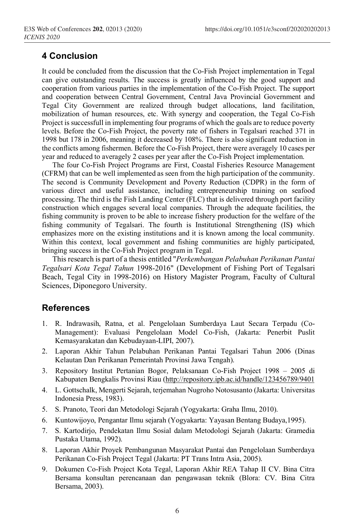### **4 Conclusion**

It could be concluded from the discussion that the Co-Fish Project implementation in Tegal can give outstanding results. The success is greatly influenced by the good support and cooperation from various parties in the implementation of the Co-Fish Project. The support and cooperation between Central Government, Central Java Provincial Government and Tegal City Government are realized through budget allocations, land facilitation, mobilization of human resources, etc. With synergy and cooperation, the Tegal Co-Fish Project is successfull in implementing four programs of which the goals are to reduce poverty levels. Before the Co-Fish Project, the poverty rate of fishers in Tegalsari reached 371 in 1998 but 178 in 2006, meaning it decreased by 108%. There is also significant reduction in the conflicts among fishermen. Before the Co-Fish Project, there were averagely 10 cases per year and reduced to averagely 2 cases per year after the Co-Fish Project implementation.

The four Co-Fish Project Programs are First, Coastal Fisheries Resource Management (CFRM) that can be well implemented as seen from the high participation of the community. The second is Community Development and Poverty Reduction (CDPR) in the form of various direct and useful assistance, including entrepreneurship training on seafood processing. The third is the Fish Landing Center (FLC) that is delivered through port facility construction which engages several local companies. Through the adequate facilities, the fishing community is proven to be able to increase fishery production for the welfare of the fishing community of Tegalsari. The fourth is Institutional Strengthening (IS**)** which emphasizes more on the existing institutions and it is known among the local community. Within this context, local government and fishing communities are highly participated, bringing success in the Co-Fish Project program in Tegal.

This research is part of a thesis entitled "*Perkembangan Pelabuhan Perikanan Pantai Tegalsari Kota Tegal Tahun* 1998-2016" (Development of Fishing Port of Tegalsari Beach, Tegal City in 1998-2016) on History Magister Program, Faculty of Cultural Sciences, Diponegoro University.

### **References**

- 1. R. Indrawasih, Ratna, et al. Pengelolaan Sumberdaya Laut Secara Terpadu (Co-Management): Evaluasi Pengelolaan Model Co-Fish, (Jakarta: Penerbit Puslit Kemasyarakatan dan Kebudayaan-LIPI, 2007).
- 2. Laporan Akhir Tahun Pelabuhan Perikanan Pantai Tegalsari Tahun 2006 (Dinas Kelautan Dan Perikanan Pemerintah Provinsi Jawa Tengah).
- 3. Repository Institut Pertanian Bogor, Pelaksanaan Co-Fish Project 1998 2005 di Kabupaten Bengkalis Provinsi Riau (http://repository.ipb.ac.id/handle/123456789/9401
- 4. L. Gottschalk, Mengerti Sejarah, terjemahan Nugroho Notosusanto (Jakarta: Universitas Indonesia Press, 1983).
- 5. S. Pranoto, Teori dan Metodologi Sejarah (Yogyakarta: Graha Ilmu, 2010).
- 6. Kuntowijoyo, Pengantar Ilmu sejarah (Yogyakarta: Yayasan Bentang Budaya,1995).
- 7. S. Kartodirjo, Pendekatan Ilmu Sosial dalam Metodologi Sejarah (Jakarta: Gramedia Pustaka Utama, 1992).
- 8. Laporan Akhir Proyek Pembangunan Masyarakat Pantai dan Pengelolaan Sumberdaya Perikanan Co-Fish Project Tegal (Jakarta: PT Trans Intra Asia, 2005).
- 9. Dokumen Co-Fish Project Kota Tegal, Laporan Akhir REA Tahap II CV. Bina Citra Bersama konsultan perencanaan dan pengawasan teknik (Blora: CV. Bina Citra Bersama, 2003).